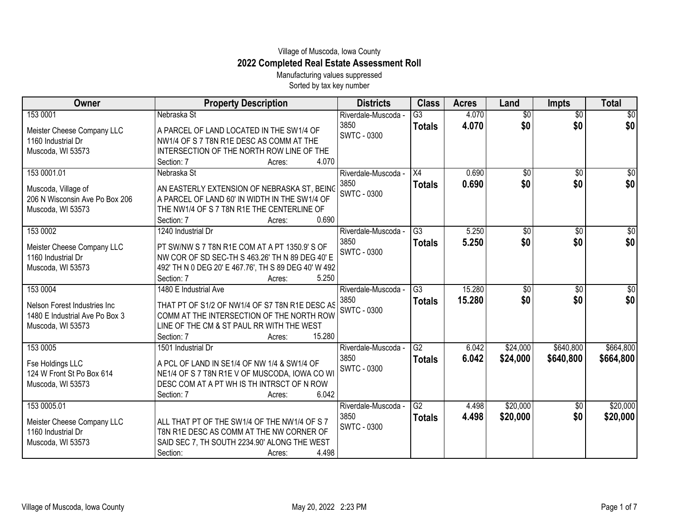## Village of Muscoda, Iowa County **2022 Completed Real Estate Assessment Roll**

Manufacturing values suppressed Sorted by tax key number

| Owner                          | <b>Property Description</b>                          | <b>Districts</b>           | <b>Class</b>    | <b>Acres</b> | Land            | <b>Impts</b>    | <b>Total</b>    |
|--------------------------------|------------------------------------------------------|----------------------------|-----------------|--------------|-----------------|-----------------|-----------------|
| 153 0001                       | Nebraska St                                          | Riverdale-Muscoda -        | $\overline{G3}$ | 4.070        | $\overline{30}$ | $\overline{50}$ | $\overline{50}$ |
| Meister Cheese Company LLC     | A PARCEL OF LAND LOCATED IN THE SW1/4 OF             | 3850<br><b>SWTC - 0300</b> | <b>Totals</b>   | 4.070        | \$0             | \$0             | \$0             |
| 1160 Industrial Dr             | NW1/4 OF S 7 T8N R1E DESC AS COMM AT THE             |                            |                 |              |                 |                 |                 |
| Muscoda, WI 53573              | INTERSECTION OF THE NORTH ROW LINE OF THE            |                            |                 |              |                 |                 |                 |
|                                | 4.070<br>Section: 7<br>Acres:                        |                            |                 |              |                 |                 |                 |
| 153 0001.01                    | Nebraska St                                          | Riverdale-Muscoda -        | $\overline{X4}$ | 0.690        | $\overline{50}$ | $\overline{50}$ | $\overline{50}$ |
| Muscoda, Village of            | AN EASTERLY EXTENSION OF NEBRASKA ST, BEING          | 3850                       | <b>Totals</b>   | 0.690        | \$0             | \$0             | \$0             |
| 206 N Wisconsin Ave Po Box 206 | A PARCEL OF LAND 60' IN WIDTH IN THE SW1/4 OF        | <b>SWTC - 0300</b>         |                 |              |                 |                 |                 |
| Muscoda, WI 53573              | THE NW1/4 OF S 7 T8N R1E THE CENTERLINE OF           |                            |                 |              |                 |                 |                 |
|                                | 0.690<br>Section: 7<br>Acres:                        |                            |                 |              |                 |                 |                 |
| 153 0002                       | 1240 Industrial Dr                                   | Riverdale-Muscoda -        | $\overline{G3}$ | 5.250        | $\overline{50}$ | $\overline{60}$ | $\overline{50}$ |
| Meister Cheese Company LLC     | PT SW/NW S 7 T8N R1E COM AT A PT 1350.9' S OF        | 3850                       | <b>Totals</b>   | 5.250        | \$0             | \$0             | \$0             |
| 1160 Industrial Dr             | NW COR OF SD SEC-TH S 463.26' TH N 89 DEG 40' E      | <b>SWTC - 0300</b>         |                 |              |                 |                 |                 |
| Muscoda, WI 53573              | 492' TH N 0 DEG 20' E 467.76', TH S 89 DEG 40' W 492 |                            |                 |              |                 |                 |                 |
|                                | 5.250<br>Section: 7<br>Acres:                        |                            |                 |              |                 |                 |                 |
| 153 0004                       | 1480 E Industrial Ave                                | Riverdale-Muscoda -        | $\overline{G3}$ | 15.280       | \$0             | $\overline{50}$ | $\overline{50}$ |
| Nelson Forest Industries Inc   | THAT PT OF S1/2 OF NW1/4 OF S7 T8N R1E DESC AS       | 3850                       | <b>Totals</b>   | 15.280       | \$0             | \$0             | \$0             |
| 1480 E Industrial Ave Po Box 3 | COMM AT THE INTERSECTION OF THE NORTH ROW            | SWTC - 0300                |                 |              |                 |                 |                 |
| Muscoda, WI 53573              | LINE OF THE CM & ST PAUL RR WITH THE WEST            |                            |                 |              |                 |                 |                 |
|                                | 15.280<br>Section: 7<br>Acres:                       |                            |                 |              |                 |                 |                 |
| 153 0005                       | 1501 Industrial Dr                                   | Riverdale-Muscoda -        | $\overline{G2}$ | 6.042        | \$24,000        | \$640,800       | \$664,800       |
| Fse Holdings LLC               | A PCL OF LAND IN SE1/4 OF NW 1/4 & SW1/4 OF          | 3850                       | <b>Totals</b>   | 6.042        | \$24,000        | \$640,800       | \$664,800       |
| 124 W Front St Po Box 614      | NE1/4 OF S 7 T8N R1E V OF MUSCODA, IOWA CO WI        | SWTC - 0300                |                 |              |                 |                 |                 |
| Muscoda, WI 53573              | DESC COM AT A PT WH IS TH INTRSCT OF N ROW           |                            |                 |              |                 |                 |                 |
|                                | 6.042<br>Section: 7<br>Acres:                        |                            |                 |              |                 |                 |                 |
| 153 0005.01                    |                                                      | Riverdale-Muscoda -        | $\overline{G2}$ | 4.498        | \$20,000        | \$0             | \$20,000        |
| Meister Cheese Company LLC     | ALL THAT PT OF THE SW1/4 OF THE NW1/4 OF S 7         | 3850                       | <b>Totals</b>   | 4.498        | \$20,000        | \$0             | \$20,000        |
| 1160 Industrial Dr             | T8N R1E DESC AS COMM AT THE NW CORNER OF             | <b>SWTC - 0300</b>         |                 |              |                 |                 |                 |
| Muscoda, WI 53573              | SAID SEC 7, TH SOUTH 2234.90' ALONG THE WEST         |                            |                 |              |                 |                 |                 |
|                                | Section:<br>4.498<br>Acres:                          |                            |                 |              |                 |                 |                 |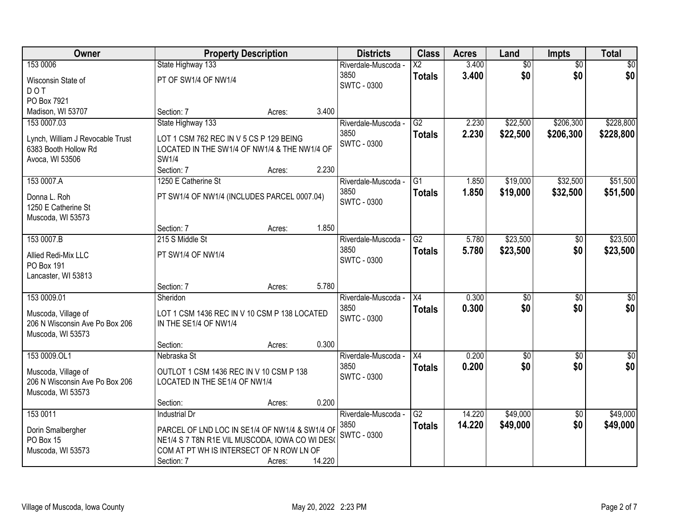| Owner                                                 | <b>Property Description</b>                                                                      |        |        | <b>Districts</b>    | <b>Class</b>           | <b>Acres</b> | Land            | <b>Impts</b>    | <b>Total</b> |
|-------------------------------------------------------|--------------------------------------------------------------------------------------------------|--------|--------|---------------------|------------------------|--------------|-----------------|-----------------|--------------|
| 153 0006                                              | State Highway 133                                                                                |        |        | Riverdale-Muscoda - | $\overline{\text{X2}}$ | 3.400        | $\overline{60}$ | $\overline{50}$ | \$0          |
| Wisconsin State of                                    | PT OF SW1/4 OF NW1/4                                                                             |        |        | 3850                | <b>Totals</b>          | 3.400        | \$0             | \$0             | \$0          |
| <b>DOT</b>                                            |                                                                                                  |        |        | <b>SWTC - 0300</b>  |                        |              |                 |                 |              |
| PO Box 7921                                           |                                                                                                  |        |        |                     |                        |              |                 |                 |              |
| Madison, WI 53707                                     | Section: 7                                                                                       | Acres: | 3.400  |                     |                        |              |                 |                 |              |
| 153 0007.03                                           | State Highway 133                                                                                |        |        | Riverdale-Muscoda - | $\overline{G2}$        | 2.230        | \$22,500        | \$206,300       | \$228,800    |
| Lynch, William J Revocable Trust                      | LOT 1 CSM 762 REC IN V 5 CS P 129 BEING                                                          |        |        | 3850                | <b>Totals</b>          | 2.230        | \$22,500        | \$206,300       | \$228,800    |
| 6383 Booth Hollow Rd                                  | LOCATED IN THE SW1/4 OF NW1/4 & THE NW1/4 OF                                                     |        |        | SWTC - 0300         |                        |              |                 |                 |              |
| Avoca, WI 53506                                       | SW1/4                                                                                            |        |        |                     |                        |              |                 |                 |              |
|                                                       | Section: 7                                                                                       | Acres: | 2.230  |                     |                        |              |                 |                 |              |
| 153 0007.A                                            | 1250 E Catherine St                                                                              |        |        | Riverdale-Muscoda - | G1                     | 1.850        | \$19,000        | \$32,500        | \$51,500     |
| Donna L. Roh                                          | PT SW1/4 OF NW1/4 (INCLUDES PARCEL 0007.04)                                                      |        |        | 3850                | <b>Totals</b>          | 1.850        | \$19,000        | \$32,500        | \$51,500     |
| 1250 E Catherine St                                   |                                                                                                  |        |        | <b>SWTC - 0300</b>  |                        |              |                 |                 |              |
| Muscoda, WI 53573                                     |                                                                                                  |        |        |                     |                        |              |                 |                 |              |
|                                                       | Section: 7                                                                                       | Acres: | 1.850  |                     |                        |              |                 |                 |              |
| 153 0007.B                                            | 215 S Middle St                                                                                  |        |        | Riverdale-Muscoda - | $\overline{G2}$        | 5.780        | \$23,500        | \$0             | \$23,500     |
| Allied Redi-Mix LLC                                   | PT SW1/4 OF NW1/4                                                                                |        |        | 3850                | <b>Totals</b>          | 5.780        | \$23,500        | \$0             | \$23,500     |
| PO Box 191                                            |                                                                                                  |        |        | <b>SWTC - 0300</b>  |                        |              |                 |                 |              |
| Lancaster, WI 53813                                   |                                                                                                  |        |        |                     |                        |              |                 |                 |              |
|                                                       | Section: 7                                                                                       | Acres: | 5.780  |                     |                        |              |                 |                 |              |
| 153 0009.01                                           | Sheridon                                                                                         |        |        | Riverdale-Muscoda - | $\overline{X4}$        | 0.300        | \$0             | \$0             | \$0          |
|                                                       | LOT 1 CSM 1436 REC IN V 10 CSM P 138 LOCATED                                                     |        |        | 3850                | <b>Totals</b>          | 0.300        | \$0             | \$0             | \$0          |
| Muscoda, Village of<br>206 N Wisconsin Ave Po Box 206 | IN THE SE1/4 OF NW1/4                                                                            |        |        | <b>SWTC - 0300</b>  |                        |              |                 |                 |              |
| Muscoda, WI 53573                                     |                                                                                                  |        |        |                     |                        |              |                 |                 |              |
|                                                       | Section:                                                                                         | Acres: | 0.300  |                     |                        |              |                 |                 |              |
| 153 0009.OL1                                          | Nebraska St                                                                                      |        |        | Riverdale-Muscoda - | X4                     | 0.200        | $\overline{60}$ | $\overline{50}$ | \$0          |
| Muscoda, Village of                                   | OUTLOT 1 CSM 1436 REC IN V 10 CSM P 138                                                          |        |        | 3850                | <b>Totals</b>          | 0.200        | \$0             | \$0             | \$0          |
| 206 N Wisconsin Ave Po Box 206                        | LOCATED IN THE SE1/4 OF NW1/4                                                                    |        |        | <b>SWTC - 0300</b>  |                        |              |                 |                 |              |
| Muscoda, WI 53573                                     |                                                                                                  |        |        |                     |                        |              |                 |                 |              |
|                                                       | Section:                                                                                         | Acres: | 0.200  |                     |                        |              |                 |                 |              |
| 153 0011                                              | <b>Industrial Dr</b>                                                                             |        |        | Riverdale-Muscoda - | $\overline{G2}$        | 14.220       | \$49,000        | $\overline{30}$ | \$49,000     |
|                                                       |                                                                                                  |        |        | 3850                | <b>Totals</b>          | 14.220       | \$49,000        | \$0             | \$49,000     |
| Dorin Smalbergher<br>PO Box 15                        | PARCEL OF LND LOC IN SE1/4 OF NW1/4 & SW1/4 OF<br>NE1/4 S 7 T8N R1E VIL MUSCODA, IOWA CO WI DES( |        |        | <b>SWTC - 0300</b>  |                        |              |                 |                 |              |
| Muscoda, WI 53573                                     | COM AT PT WH IS INTERSECT OF N ROW LN OF                                                         |        |        |                     |                        |              |                 |                 |              |
|                                                       | Section: 7                                                                                       | Acres: | 14.220 |                     |                        |              |                 |                 |              |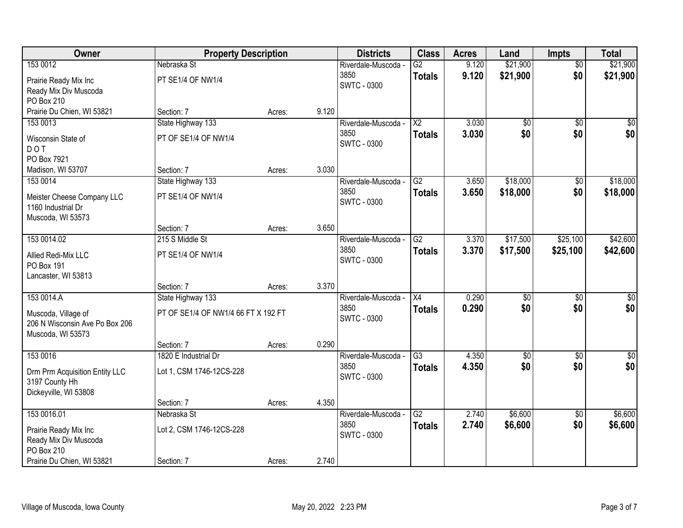| Owner                          | <b>Property Description</b>         |        |       | <b>Districts</b>            | <b>Class</b>    | <b>Acres</b>   | Land            | Impts                  | <b>Total</b>           |
|--------------------------------|-------------------------------------|--------|-------|-----------------------------|-----------------|----------------|-----------------|------------------------|------------------------|
| 153 0012                       | Nebraska St                         |        |       | Riverdale-Muscoda -         | $\overline{G2}$ | 9.120          | \$21,900        | $\overline{50}$        | \$21,900               |
| Prairie Ready Mix Inc          | PT SE1/4 OF NW1/4                   |        |       | 3850                        | <b>Totals</b>   | 9.120          | \$21,900        | \$0                    | \$21,900               |
| Ready Mix Div Muscoda          |                                     |        |       | <b>SWTC - 0300</b>          |                 |                |                 |                        |                        |
| PO Box 210                     |                                     |        |       |                             |                 |                |                 |                        |                        |
| Prairie Du Chien, WI 53821     | Section: 7                          | Acres: | 9.120 |                             |                 |                |                 |                        |                        |
| 153 0013                       | State Highway 133                   |        |       | Riverdale-Muscoda -         | $\overline{X2}$ | 3.030          | $\overline{50}$ | $\overline{50}$        | $\sqrt{50}$            |
| Wisconsin State of             | PT OF SE1/4 OF NW1/4                |        |       | 3850<br><b>SWTC - 0300</b>  | <b>Totals</b>   | 3.030          | \$0             | \$0                    | \$0                    |
| <b>DOT</b>                     |                                     |        |       |                             |                 |                |                 |                        |                        |
| PO Box 7921                    |                                     |        |       |                             |                 |                |                 |                        |                        |
| Madison, WI 53707              | Section: 7                          | Acres: | 3.030 |                             |                 |                |                 |                        |                        |
| 153 0014                       | State Highway 133                   |        |       | Riverdale-Muscoda -         | G2              | 3.650          | \$18,000        | \$0                    | \$18,000               |
| Meister Cheese Company LLC     | PT SE1/4 OF NW1/4                   |        |       | 3850<br><b>SWTC - 0300</b>  | <b>Totals</b>   | 3.650          | \$18,000        | \$0                    | \$18,000               |
| 1160 Industrial Dr             |                                     |        |       |                             |                 |                |                 |                        |                        |
| Muscoda, WI 53573              |                                     |        |       |                             |                 |                |                 |                        |                        |
|                                | Section: 7                          | Acres: | 3.650 |                             |                 |                |                 |                        |                        |
| 153 0014.02                    | 215 S Middle St                     |        |       | Riverdale-Muscoda -         | G2              | 3.370          | \$17,500        | \$25,100               | \$42,600               |
| Allied Redi-Mix LLC            | PT SE1/4 OF NW1/4                   |        |       | 3850<br><b>SWTC - 0300</b>  | <b>Totals</b>   | 3.370          | \$17,500        | \$25,100               | \$42,600               |
| PO Box 191                     |                                     |        |       |                             |                 |                |                 |                        |                        |
| Lancaster, WI 53813            |                                     |        |       |                             |                 |                |                 |                        |                        |
|                                | Section: 7                          | Acres: | 3.370 |                             |                 |                |                 |                        |                        |
| 153 0014.A                     | State Highway 133                   |        |       | Riverdale-Muscoda -<br>3850 | $\overline{X4}$ | 0.290          | $\overline{50}$ | $\overline{50}$        | $\overline{50}$        |
| Muscoda, Village of            | PT OF SE1/4 OF NW1/4 66 FT X 192 FT |        |       | <b>SWTC - 0300</b>          | <b>Totals</b>   | 0.290          | \$0             | \$0                    | \$0                    |
| 206 N Wisconsin Ave Po Box 206 |                                     |        |       |                             |                 |                |                 |                        |                        |
| Muscoda, WI 53573              |                                     |        |       |                             |                 |                |                 |                        |                        |
|                                | Section: 7                          | Acres: | 0.290 |                             |                 |                |                 |                        |                        |
| 153 0016                       | 1820 E Industrial Dr                |        |       | Riverdale-Muscoda -<br>3850 | $\overline{G3}$ | 4.350          | $\overline{50}$ | $\overline{50}$        | $\overline{30}$<br>\$0 |
| Drm Prm Acquisition Entity LLC | Lot 1, CSM 1746-12CS-228            |        |       | <b>SWTC - 0300</b>          | <b>Totals</b>   | 4.350          | \$0             | \$0                    |                        |
| 3197 County Hh                 |                                     |        |       |                             |                 |                |                 |                        |                        |
| Dickeyville, WI 53808          |                                     |        |       |                             |                 |                |                 |                        |                        |
|                                | Section: 7                          | Acres: | 4.350 |                             |                 |                |                 |                        |                        |
| 153 0016.01                    | Nebraska St                         |        |       | Riverdale-Muscoda -<br>3850 | $\overline{G2}$ | 2.740<br>2.740 | \$6,600         | $\overline{50}$<br>\$0 | \$6,600                |
| Prairie Ready Mix Inc          | Lot 2, CSM 1746-12CS-228            |        |       | <b>SWTC - 0300</b>          | <b>Totals</b>   |                | \$6,600         |                        | \$6,600                |
| Ready Mix Div Muscoda          |                                     |        |       |                             |                 |                |                 |                        |                        |
| PO Box 210                     |                                     |        |       |                             |                 |                |                 |                        |                        |
| Prairie Du Chien, WI 53821     | Section: 7                          | Acres: | 2.740 |                             |                 |                |                 |                        |                        |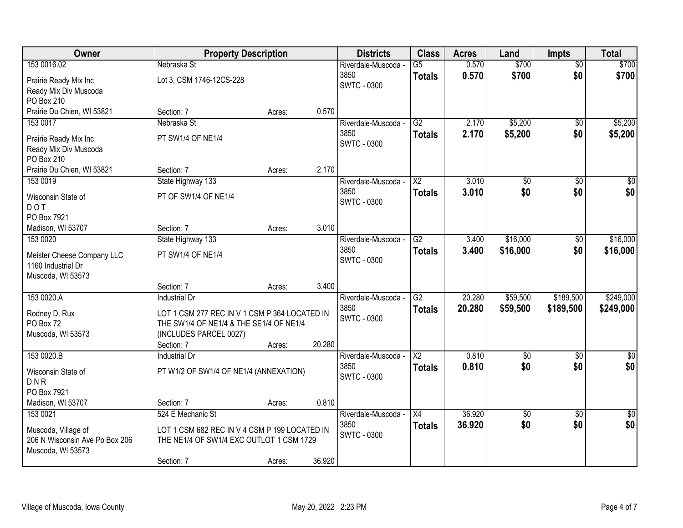| Owner                          | <b>Property Description</b>                   |        |        | <b>Districts</b>    | <b>Class</b>           | <b>Acres</b> | Land            | <b>Impts</b>    | <b>Total</b>     |
|--------------------------------|-----------------------------------------------|--------|--------|---------------------|------------------------|--------------|-----------------|-----------------|------------------|
| 153 0016.02                    | Nebraska St                                   |        |        | Riverdale-Muscoda - | $\overline{G5}$        | 0.570        | \$700           | $\overline{50}$ | \$700            |
| Prairie Ready Mix Inc          | Lot 3, CSM 1746-12CS-228                      |        |        | 3850                | <b>Totals</b>          | 0.570        | \$700           | \$0             | \$700            |
| Ready Mix Div Muscoda          |                                               |        |        | <b>SWTC - 0300</b>  |                        |              |                 |                 |                  |
| PO Box 210                     |                                               |        |        |                     |                        |              |                 |                 |                  |
| Prairie Du Chien, WI 53821     | Section: 7                                    | Acres: | 0.570  |                     |                        |              |                 |                 |                  |
| 153 0017                       | Nebraska St                                   |        |        | Riverdale-Muscoda - | $\overline{G2}$        | 2.170        | \$5,200         | \$0             | \$5,200          |
| Prairie Ready Mix Inc          | PT SW1/4 OF NE1/4                             |        |        | 3850                | <b>Totals</b>          | 2.170        | \$5,200         | \$0             | \$5,200          |
| Ready Mix Div Muscoda          |                                               |        |        | SWTC - 0300         |                        |              |                 |                 |                  |
| PO Box 210                     |                                               |        |        |                     |                        |              |                 |                 |                  |
| Prairie Du Chien, WI 53821     | Section: 7                                    | Acres: | 2.170  |                     |                        |              |                 |                 |                  |
| 153 0019                       | State Highway 133                             |        |        | Riverdale-Muscoda - | $\overline{\text{X2}}$ | 3.010        | $\overline{50}$ | \$0             | $\overline{\$0}$ |
| Wisconsin State of             | PT OF SW1/4 OF NE1/4                          |        |        | 3850                | <b>Totals</b>          | 3.010        | \$0             | \$0             | \$0              |
| <b>DOT</b>                     |                                               |        |        | <b>SWTC - 0300</b>  |                        |              |                 |                 |                  |
| PO Box 7921                    |                                               |        |        |                     |                        |              |                 |                 |                  |
| Madison, WI 53707              | Section: 7                                    | Acres: | 3.010  |                     |                        |              |                 |                 |                  |
| 153 0020                       | State Highway 133                             |        |        | Riverdale-Muscoda - | $\overline{G2}$        | 3.400        | \$16,000        | \$0             | \$16,000         |
| Meister Cheese Company LLC     | PT SW1/4 OF NE1/4                             |        |        | 3850                | <b>Totals</b>          | 3.400        | \$16,000        | \$0             | \$16,000         |
| 1160 Industrial Dr             |                                               |        |        | <b>SWTC - 0300</b>  |                        |              |                 |                 |                  |
| Muscoda, WI 53573              |                                               |        |        |                     |                        |              |                 |                 |                  |
|                                | Section: 7                                    | Acres: | 3.400  |                     |                        |              |                 |                 |                  |
| 153 0020.A                     | <b>Industrial Dr</b>                          |        |        | Riverdale-Muscoda - | $\overline{G2}$        | 20.280       | \$59,500        | \$189,500       | \$249,000        |
| Rodney D. Rux                  | LOT 1 CSM 277 REC IN V 1 CSM P 364 LOCATED IN |        |        | 3850                | <b>Totals</b>          | 20.280       | \$59,500        | \$189,500       | \$249,000        |
| PO Box 72                      | THE SW1/4 OF NE1/4 & THE SE1/4 OF NE1/4       |        |        | <b>SWTC - 0300</b>  |                        |              |                 |                 |                  |
| Muscoda, WI 53573              | (INCLUDES PARCEL 0027)                        |        |        |                     |                        |              |                 |                 |                  |
|                                | Section: 7                                    | Acres: | 20.280 |                     |                        |              |                 |                 |                  |
| 153 0020.B                     | <b>Industrial Dr</b>                          |        |        | Riverdale-Muscoda - | $\overline{X2}$        | 0.810        | $\sqrt{6}$      | \$0             | \$0              |
| Wisconsin State of             | PT W1/2 OF SW1/4 OF NE1/4 (ANNEXATION)        |        |        | 3850                | <b>Totals</b>          | 0.810        | \$0             | \$0             | \$0              |
| DNR                            |                                               |        |        | <b>SWTC - 0300</b>  |                        |              |                 |                 |                  |
| PO Box 7921                    |                                               |        |        |                     |                        |              |                 |                 |                  |
| Madison, WI 53707              | Section: 7                                    | Acres: | 0.810  |                     |                        |              |                 |                 |                  |
| 153 0021                       | 524 E Mechanic St                             |        |        | Riverdale-Muscoda - | X4                     | 36.920       | $\sqrt{6}$      | $\overline{50}$ | $\sqrt{50}$      |
| Muscoda, Village of            | LOT 1 CSM 682 REC IN V 4 CSM P 199 LOCATED IN |        |        | 3850                | <b>Totals</b>          | 36.920       | \$0             | \$0             | \$0              |
| 206 N Wisconsin Ave Po Box 206 | THE NE1/4 OF SW1/4 EXC OUTLOT 1 CSM 1729      |        |        | <b>SWTC - 0300</b>  |                        |              |                 |                 |                  |
| Muscoda, WI 53573              |                                               |        |        |                     |                        |              |                 |                 |                  |
|                                | Section: 7                                    | Acres: | 36.920 |                     |                        |              |                 |                 |                  |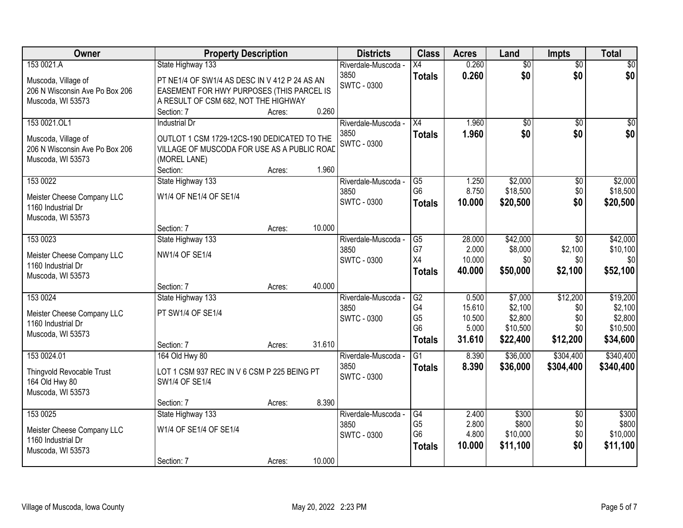| Owner                          | <b>Property Description</b>                   |        |        | <b>Districts</b>    | <b>Class</b>    | <b>Acres</b> | Land            | <b>Impts</b>    | <b>Total</b> |
|--------------------------------|-----------------------------------------------|--------|--------|---------------------|-----------------|--------------|-----------------|-----------------|--------------|
| 153 0021.A                     | State Highway 133                             |        |        | Riverdale-Muscoda - | $\overline{X4}$ | 0.260        | $\overline{50}$ | $\overline{50}$ | $\sqrt{30}$  |
| Muscoda, Village of            | PT NE1/4 OF SW1/4 AS DESC IN V 412 P 24 AS AN |        |        | 3850                | <b>Totals</b>   | 0.260        | \$0             | \$0             | \$0          |
| 206 N Wisconsin Ave Po Box 206 | EASEMENT FOR HWY PURPOSES (THIS PARCEL IS     |        |        | <b>SWTC - 0300</b>  |                 |              |                 |                 |              |
| Muscoda, WI 53573              | A RESULT OF CSM 682, NOT THE HIGHWAY          |        |        |                     |                 |              |                 |                 |              |
|                                | Section: 7                                    | Acres: | 0.260  |                     |                 |              |                 |                 |              |
| 153 0021.OL1                   | <b>Industrial Dr</b>                          |        |        | Riverdale-Muscoda - | $\overline{X4}$ | 1.960        | $\overline{50}$ | $\overline{50}$ | $\sqrt{50}$  |
| Muscoda, Village of            | OUTLOT 1 CSM 1729-12CS-190 DEDICATED TO THE   |        |        | 3850                | <b>Totals</b>   | 1.960        | \$0             | \$0             | \$0          |
| 206 N Wisconsin Ave Po Box 206 | VILLAGE OF MUSCODA FOR USE AS A PUBLIC ROAD   |        |        | <b>SWTC - 0300</b>  |                 |              |                 |                 |              |
| Muscoda, WI 53573              | (MOREL LANE)                                  |        |        |                     |                 |              |                 |                 |              |
|                                | Section:                                      | Acres: | 1.960  |                     |                 |              |                 |                 |              |
| 153 0022                       | State Highway 133                             |        |        | Riverdale-Muscoda - | $\overline{G5}$ | 1.250        | \$2,000         | \$0             | \$2,000      |
| Meister Cheese Company LLC     | W1/4 OF NE1/4 OF SE1/4                        |        |        | 3850                | G <sub>6</sub>  | 8.750        | \$18,500        | \$0             | \$18,500     |
| 1160 Industrial Dr             |                                               |        |        | <b>SWTC - 0300</b>  | <b>Totals</b>   | 10.000       | \$20,500        | \$0             | \$20,500     |
| Muscoda, WI 53573              |                                               |        |        |                     |                 |              |                 |                 |              |
|                                | Section: 7                                    | Acres: | 10.000 |                     |                 |              |                 |                 |              |
| 153 0023                       | State Highway 133                             |        |        | Riverdale-Muscoda - | $\overline{G5}$ | 28.000       | \$42,000        | \$0             | \$42,000     |
| Meister Cheese Company LLC     | NW1/4 OF SE1/4                                |        |        | 3850                | G7              | 2.000        | \$8,000         | \$2,100         | \$10,100     |
| 1160 Industrial Dr             |                                               |        |        | <b>SWTC - 0300</b>  | X4              | 10.000       | \$0             | \$0             | \$0          |
| Muscoda, WI 53573              |                                               |        |        |                     | <b>Totals</b>   | 40.000       | \$50,000        | \$2,100         | \$52,100     |
|                                | Section: 7                                    | Acres: | 40.000 |                     |                 |              |                 |                 |              |
| 153 0024                       | State Highway 133                             |        |        | Riverdale-Muscoda - | $\overline{G2}$ | 0.500        | \$7,000         | \$12,200        | \$19,200     |
| Meister Cheese Company LLC     | PT SW1/4 OF SE1/4                             |        |        | 3850                | G4              | 15.610       | \$2,100         | \$0             | \$2,100      |
| 1160 Industrial Dr             |                                               |        |        | <b>SWTC - 0300</b>  | G <sub>5</sub>  | 10.500       | \$2,800         | \$0             | \$2,800      |
| Muscoda, WI 53573              |                                               |        |        |                     | G <sub>6</sub>  | 5.000        | \$10,500        | \$0             | \$10,500     |
|                                | Section: 7                                    | Acres: | 31.610 |                     | <b>Totals</b>   | 31.610       | \$22,400        | \$12,200        | \$34,600     |
| 153 0024.01                    | 164 Old Hwy 80                                |        |        | Riverdale-Muscoda - | $\overline{G1}$ | 8.390        | \$36,000        | \$304,400       | \$340,400    |
| Thingvold Revocable Trust      | LOT 1 CSM 937 REC IN V 6 CSM P 225 BEING PT   |        |        | 3850                | <b>Totals</b>   | 8.390        | \$36,000        | \$304,400       | \$340,400    |
| 164 Old Hwy 80                 | SW1/4 OF SE1/4                                |        |        | <b>SWTC - 0300</b>  |                 |              |                 |                 |              |
| Muscoda, WI 53573              |                                               |        |        |                     |                 |              |                 |                 |              |
|                                | Section: 7                                    | Acres: | 8.390  |                     |                 |              |                 |                 |              |
| 153 0025                       | State Highway 133                             |        |        | Riverdale-Muscoda - | G4              | 2.400        | \$300           | $\overline{50}$ | \$300        |
| Meister Cheese Company LLC     | W1/4 OF SE1/4 OF SE1/4                        |        |        | 3850                | G <sub>5</sub>  | 2.800        | \$800           | \$0             | \$800        |
| 1160 Industrial Dr             |                                               |        |        | <b>SWTC - 0300</b>  | G <sub>6</sub>  | 4.800        | \$10,000        | \$0             | \$10,000     |
| Muscoda, WI 53573              |                                               |        |        |                     | <b>Totals</b>   | 10.000       | \$11,100        | \$0             | \$11,100     |
|                                | Section: 7                                    | Acres: | 10.000 |                     |                 |              |                 |                 |              |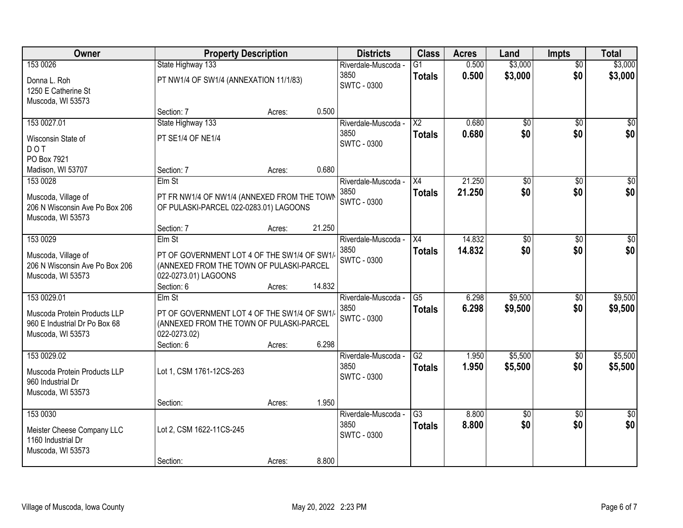| Owner                                   | <b>Property Description</b>                 |        |        | <b>Districts</b>            | <b>Class</b>           | <b>Acres</b>   | Land        | <b>Impts</b>           | <b>Total</b>    |
|-----------------------------------------|---------------------------------------------|--------|--------|-----------------------------|------------------------|----------------|-------------|------------------------|-----------------|
| 153 0026                                | State Highway 133                           |        |        | Riverdale-Muscoda -         | $\overline{G1}$        | 0.500          | \$3,000     | $\overline{50}$        | \$3,000         |
| Donna L. Roh<br>1250 E Catherine St     | PT NW1/4 OF SW1/4 (ANNEXATION 11/1/83)      |        |        | 3850<br><b>SWTC - 0300</b>  | <b>Totals</b>          | 0.500          | \$3,000     | \$0                    | \$3,000         |
| Muscoda, WI 53573                       |                                             |        |        |                             |                        |                |             |                        |                 |
|                                         | Section: 7                                  | Acres: | 0.500  |                             |                        |                |             |                        |                 |
| 153 0027.01                             | State Highway 133                           |        |        | Riverdale-Muscoda -         | $\overline{\text{X2}}$ | 0.680          | \$0         | \$0                    | \$0             |
| Wisconsin State of<br><b>DOT</b>        | PT SE1/4 OF NE1/4                           |        |        | 3850<br><b>SWTC - 0300</b>  | <b>Totals</b>          | 0.680          | \$0         | \$0                    | \$0             |
| PO Box 7921                             |                                             |        |        |                             |                        |                |             |                        |                 |
| Madison, WI 53707                       | Section: 7                                  | Acres: | 0.680  |                             |                        |                |             |                        |                 |
| 153 0028                                | Elm St                                      |        |        | Riverdale-Muscoda -         | $\overline{X4}$        | 21.250         | \$0         | $\overline{50}$        | $\overline{30}$ |
| Muscoda, Village of                     | PT FR NW1/4 OF NW1/4 (ANNEXED FROM THE TOWN |        |        | 3850                        | <b>Totals</b>          | 21.250         | \$0         | \$0                    | \$0             |
| 206 N Wisconsin Ave Po Box 206          | OF PULASKI-PARCEL 022-0283.01) LAGOONS      |        |        | <b>SWTC - 0300</b>          |                        |                |             |                        |                 |
| Muscoda, WI 53573                       |                                             |        |        |                             |                        |                |             |                        |                 |
|                                         | Section: 7                                  | Acres: | 21.250 |                             |                        |                |             |                        |                 |
| 153 0029                                | Elm St                                      |        |        | Riverdale-Muscoda -         | X4                     | 14.832         | \$0         | \$0                    | \$0             |
| Muscoda, Village of                     | PT OF GOVERNMENT LOT 4 OF THE SW1/4 OF SW1/ |        |        | 3850                        | <b>Totals</b>          | 14.832         | \$0         | \$0                    | \$0             |
| 206 N Wisconsin Ave Po Box 206          | (ANNEXED FROM THE TOWN OF PULASKI-PARCEL    |        |        | <b>SWTC - 0300</b>          |                        |                |             |                        |                 |
| Muscoda, WI 53573                       | 022-0273.01) LAGOONS                        |        |        |                             |                        |                |             |                        |                 |
|                                         | Section: 6                                  | Acres: | 14.832 |                             |                        |                |             |                        |                 |
| 153 0029.01                             | Elm St                                      |        |        | Riverdale-Muscoda -         | $\overline{G5}$        | 6.298          | \$9,500     | $\overline{50}$        | \$9,500         |
| Muscoda Protein Products LLP            | PT OF GOVERNMENT LOT 4 OF THE SW1/4 OF SW1/ |        |        | 3850<br><b>SWTC - 0300</b>  | <b>Totals</b>          | 6.298          | \$9,500     | \$0                    | \$9,500         |
| 960 E Industrial Dr Po Box 68           | (ANNEXED FROM THE TOWN OF PULASKI-PARCEL    |        |        |                             |                        |                |             |                        |                 |
| Muscoda, WI 53573                       | 022-0273.02)                                |        |        |                             |                        |                |             |                        |                 |
|                                         | Section: 6                                  | Acres: | 6.298  |                             |                        |                |             |                        |                 |
| 153 0029.02                             |                                             |        |        | Riverdale-Muscoda -<br>3850 | G2                     | 1.950<br>1.950 | \$5,500     | $\overline{50}$<br>\$0 | \$5,500         |
| Muscoda Protein Products LLP            | Lot 1, CSM 1761-12CS-263                    |        |        | <b>SWTC - 0300</b>          | <b>Totals</b>          |                | \$5,500     |                        | \$5,500         |
| 960 Industrial Dr                       |                                             |        |        |                             |                        |                |             |                        |                 |
| Muscoda, WI 53573                       |                                             |        | 1.950  |                             |                        |                |             |                        |                 |
| 153 0030                                | Section:                                    | Acres: |        | Riverdale-Muscoda -         | $\overline{G3}$        | 8.800          | $\sqrt{50}$ | $\overline{50}$        | $\overline{50}$ |
|                                         |                                             |        |        | 3850                        | <b>Totals</b>          | 8.800          | \$0         | \$0                    | \$0             |
| Meister Cheese Company LLC              | Lot 2, CSM 1622-11CS-245                    |        |        | <b>SWTC - 0300</b>          |                        |                |             |                        |                 |
| 1160 Industrial Dr<br>Muscoda, WI 53573 |                                             |        |        |                             |                        |                |             |                        |                 |
|                                         | Section:                                    | Acres: | 8.800  |                             |                        |                |             |                        |                 |